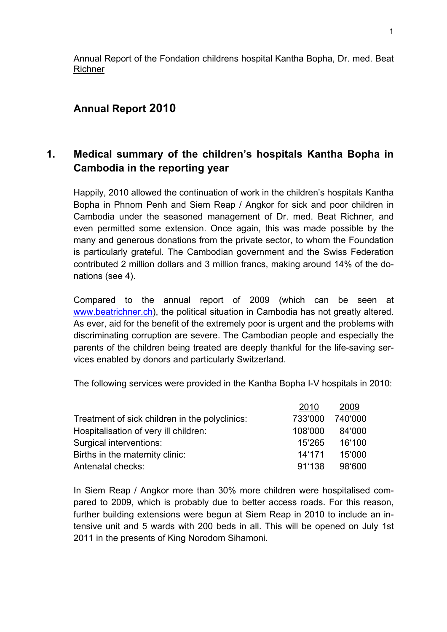### Annual Report of the Fondation childrens hospital Kantha Bopha, Dr. med. Beat Richner

# **Annual Report 2010**

# **1. Medical summary of the children's hospitals Kantha Bopha in Cambodia in the reporting year**

Happily, 2010 allowed the continuation of work in the children's hospitals Kantha Bopha in Phnom Penh and Siem Reap / Angkor for sick and poor children in Cambodia under the seasoned management of Dr. med. Beat Richner, and even permitted some extension. Once again, this was made possible by the many and generous donations from the private sector, to whom the Foundation is particularly grateful. The Cambodian government and the Swiss Federation contributed 2 million dollars and 3 million francs, making around 14% of the donations (see 4).

Compared to the annual report of 2009 (which can be seen at www.beatrichner.ch), the political situation in Cambodia has not greatly altered. As ever, aid for the benefit of the extremely poor is urgent and the problems with discriminating corruption are severe. The Cambodian people and especially the parents of the children being treated are deeply thankful for the life-saving services enabled by donors and particularly Switzerland.

The following services were provided in the Kantha Bopha I-V hospitals in 2010:

|                                                | 2010    | 2009    |
|------------------------------------------------|---------|---------|
| Treatment of sick children in the polyclinics: | 733'000 | 740'000 |
| Hospitalisation of very ill children:          | 108'000 | 84'000  |
| Surgical interventions:                        | 15'265  | 16'100  |
| Births in the maternity clinic:                | 14'171  | 15'000  |
| Antenatal checks:                              | 91'138  | 98'600  |

In Siem Reap / Angkor more than 30% more children were hospitalised compared to 2009, which is probably due to better access roads. For this reason, further building extensions were begun at Siem Reap in 2010 to include an intensive unit and 5 wards with 200 beds in all. This will be opened on July 1st 2011 in the presents of King Norodom Sihamoni.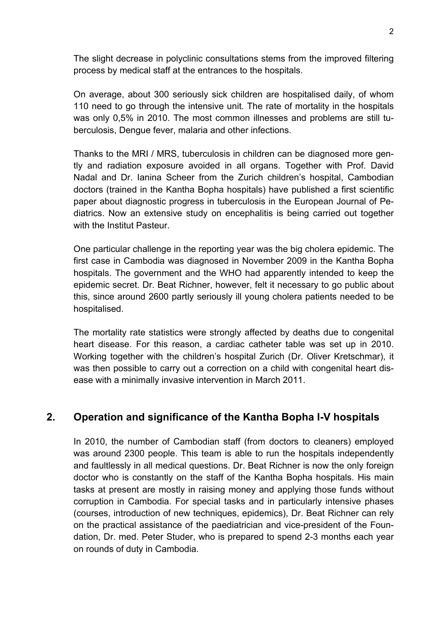The slight decrease in polyclinic consultations stems from the improved filtering process by medical staff at the entrances to the hospitals.

On average, about 300 seriously sick children are hospitalised daily, of whom 110 need to go through the intensive unit. The rate of mortality in the hospitals was only 0,5% in 2010. The most common illnesses and problems are still tuberculosis, Dengue fever, malaria and other infections.

Thanks to the MRI / MRS, tuberculosis in children can be diagnosed more gently and radiation exposure avoided in all organs. Together with Prof. David Nadal and Dr. Ianina Scheer from the Zurich children's hospital, Cambodian doctors (trained in the Kantha Bopha hospitals) have published a first scientific paper about diagnostic progress in tuberculosis in the European Journal of Pediatrics. Now an extensive study on encephalitis is being carried out together with the Institut Pasteur.

One particular challenge in the reporting year was the big cholera epidemic. The first case in Cambodia was diagnosed in November 2009 in the Kantha Bopha hospitals. The government and the WHO had apparently intended to keep the epidemic secret. Dr. Beat Richner, however, felt it necessary to go public about this, since around 2600 partly seriously ill young cholera patients needed to be hospitalised.

The mortality rate statistics were strongly affected by deaths due to congenital heart disease. For this reason, a cardiac catheter table was set up in 2010. Working together with the children's hospital Zurich (Dr. Oliver Kretschmar), it was then possible to carry out a correction on a child with congenital heart disease with a minimally invasive intervention in March 2011.

## **2. Operation and significance of the Kantha Bopha I-V hospitals**

In 2010, the number of Cambodian staff (from doctors to cleaners) employed was around 2300 people. This team is able to run the hospitals independently and faultlessly in all medical questions. Dr. Beat Richner is now the only foreign doctor who is constantly on the staff of the Kantha Bopha hospitals. His main tasks at present are mostly in raising money and applying those funds without corruption in Cambodia. For special tasks and in particularly intensive phases (courses, introduction of new techniques, epidemics), Dr. Beat Richner can rely on the practical assistance of the paediatrician and vice-president of the Foundation, Dr. med. Peter Studer, who is prepared to spend 2-3 months each year on rounds of duty in Cambodia.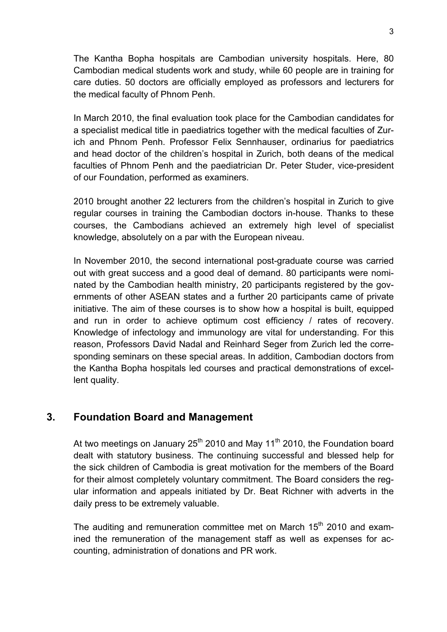The Kantha Bopha hospitals are Cambodian university hospitals. Here, 80 Cambodian medical students work and study, while 60 people are in training for care duties. 50 doctors are officially employed as professors and lecturers for the medical faculty of Phnom Penh.

In March 2010, the final evaluation took place for the Cambodian candidates for a specialist medical title in paediatrics together with the medical faculties of Zurich and Phnom Penh. Professor Felix Sennhauser, ordinarius for paediatrics and head doctor of the children's hospital in Zurich, both deans of the medical faculties of Phnom Penh and the paediatrician Dr. Peter Studer, vice-president of our Foundation, performed as examiners.

2010 brought another 22 lecturers from the children's hospital in Zurich to give regular courses in training the Cambodian doctors in-house. Thanks to these courses, the Cambodians achieved an extremely high level of specialist knowledge, absolutely on a par with the European niveau.

In November 2010, the second international post-graduate course was carried out with great success and a good deal of demand. 80 participants were nominated by the Cambodian health ministry, 20 participants registered by the governments of other ASEAN states and a further 20 participants came of private initiative. The aim of these courses is to show how a hospital is built, equipped and run in order to achieve optimum cost efficiency / rates of recovery. Knowledge of infectology and immunology are vital for understanding. For this reason, Professors David Nadal and Reinhard Seger from Zurich led the corresponding seminars on these special areas. In addition, Cambodian doctors from the Kantha Bopha hospitals led courses and practical demonstrations of excellent quality.

### **3. Foundation Board and Management**

At two meetings on January  $25<sup>th</sup>$  2010 and May 11<sup>th</sup> 2010, the Foundation board dealt with statutory business. The continuing successful and blessed help for the sick children of Cambodia is great motivation for the members of the Board for their almost completely voluntary commitment. The Board considers the regular information and appeals initiated by Dr. Beat Richner with adverts in the daily press to be extremely valuable.

The auditing and remuneration committee met on March  $15<sup>th</sup>$  2010 and examined the remuneration of the management staff as well as expenses for accounting, administration of donations and PR work.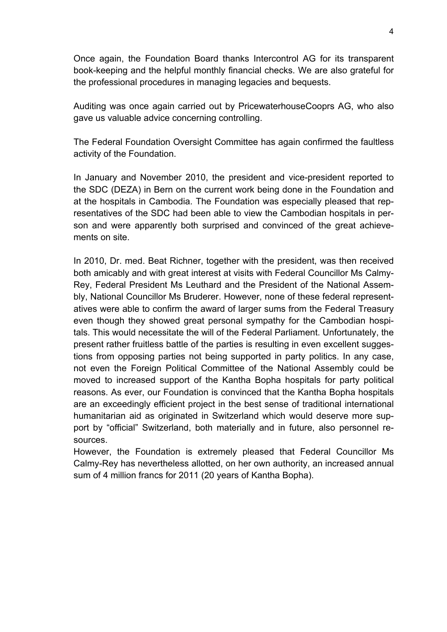Once again, the Foundation Board thanks Intercontrol AG for its transparent book-keeping and the helpful monthly financial checks. We are also grateful for the professional procedures in managing legacies and bequests.

Auditing was once again carried out by PricewaterhouseCooprs AG, who also gave us valuable advice concerning controlling.

The Federal Foundation Oversight Committee has again confirmed the faultless activity of the Foundation.

In January and November 2010, the president and vice-president reported to the SDC (DEZA) in Bern on the current work being done in the Foundation and at the hospitals in Cambodia. The Foundation was especially pleased that representatives of the SDC had been able to view the Cambodian hospitals in person and were apparently both surprised and convinced of the great achievements on site.

In 2010, Dr. med. Beat Richner, together with the president, was then received both amicably and with great interest at visits with Federal Councillor Ms Calmy-Rey, Federal President Ms Leuthard and the President of the National Assembly, National Councillor Ms Bruderer. However, none of these federal representatives were able to confirm the award of larger sums from the Federal Treasury even though they showed great personal sympathy for the Cambodian hospitals. This would necessitate the will of the Federal Parliament. Unfortunately, the present rather fruitless battle of the parties is resulting in even excellent suggestions from opposing parties not being supported in party politics. In any case, not even the Foreign Political Committee of the National Assembly could be moved to increased support of the Kantha Bopha hospitals for party political reasons. As ever, our Foundation is convinced that the Kantha Bopha hospitals are an exceedingly efficient project in the best sense of traditional international humanitarian aid as originated in Switzerland which would deserve more support by "official" Switzerland, both materially and in future, also personnel resources.

However, the Foundation is extremely pleased that Federal Councillor Ms Calmy-Rey has nevertheless allotted, on her own authority, an increased annual sum of 4 million francs for 2011 (20 years of Kantha Bopha).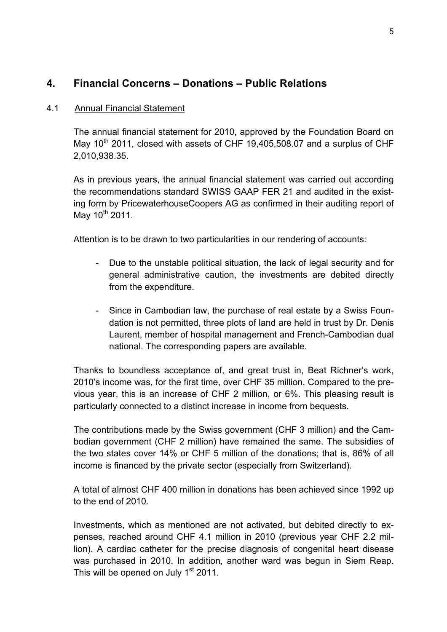## **4. Financial Concerns – Donations – Public Relations**

### 4.1 Annual Financial Statement

The annual financial statement for 2010, approved by the Foundation Board on May  $10<sup>th</sup>$  2011, closed with assets of CHF 19,405,508.07 and a surplus of CHF 2,010,938.35.

As in previous years, the annual financial statement was carried out according the recommendations standard SWISS GAAP FER 21 and audited in the existing form by PricewaterhouseCoopers AG as confirmed in their auditing report of May  $10^{th}$  2011.

Attention is to be drawn to two particularities in our rendering of accounts:

- Due to the unstable political situation, the lack of legal security and for general administrative caution, the investments are debited directly from the expenditure.
- Since in Cambodian law, the purchase of real estate by a Swiss Foundation is not permitted, three plots of land are held in trust by Dr. Denis Laurent, member of hospital management and French-Cambodian dual national. The corresponding papers are available.

Thanks to boundless acceptance of, and great trust in, Beat Richner's work, 2010's income was, for the first time, over CHF 35 million. Compared to the previous year, this is an increase of CHF 2 million, or 6%. This pleasing result is particularly connected to a distinct increase in income from bequests.

The contributions made by the Swiss government (CHF 3 million) and the Cambodian government (CHF 2 million) have remained the same. The subsidies of the two states cover 14% or CHF 5 million of the donations; that is, 86% of all income is financed by the private sector (especially from Switzerland).

A total of almost CHF 400 million in donations has been achieved since 1992 up to the end of 2010.

Investments, which as mentioned are not activated, but debited directly to expenses, reached around CHF 4.1 million in 2010 (previous year CHF 2.2 million). A cardiac catheter for the precise diagnosis of congenital heart disease was purchased in 2010. In addition, another ward was begun in Siem Reap. This will be opened on July 1<sup>st</sup> 2011.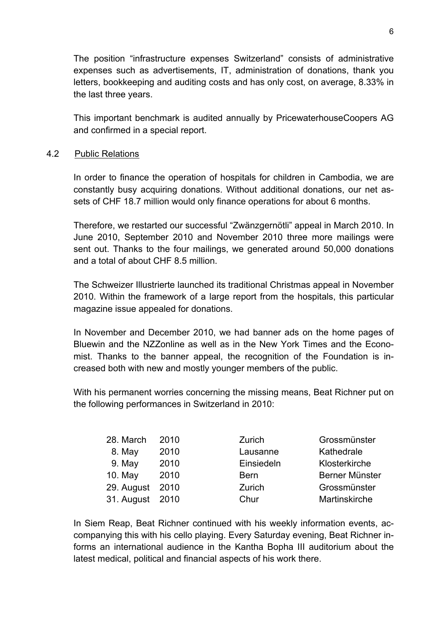The position "infrastructure expenses Switzerland" consists of administrative expenses such as advertisements, IT, administration of donations, thank you letters, bookkeeping and auditing costs and has only cost, on average, 8.33% in the last three years.

This important benchmark is audited annually by PricewaterhouseCoopers AG and confirmed in a special report.

#### 4.2 Public Relations

In order to finance the operation of hospitals for children in Cambodia, we are constantly busy acquiring donations. Without additional donations, our net assets of CHF 18.7 million would only finance operations for about 6 months.

Therefore, we restarted our successful "Zwänzgernötli" appeal in March 2010. In June 2010, September 2010 and November 2010 three more mailings were sent out. Thanks to the four mailings, we generated around 50,000 donations and a total of about CHF 8.5 million.

The Schweizer Illustrierte launched its traditional Christmas appeal in November 2010. Within the framework of a large report from the hospitals, this particular magazine issue appealed for donations.

In November and December 2010, we had banner ads on the home pages of Bluewin and the NZZonline as well as in the New York Times and the Economist. Thanks to the banner appeal, the recognition of the Foundation is increased both with new and mostly younger members of the public.

With his permanent worries concerning the missing means, Beat Richner put on the following performances in Switzerland in 2010:

| 28. March       | 2010 | Zurich      | Grossmünster   |
|-----------------|------|-------------|----------------|
| 8. May          | 2010 | Lausanne    | Kathedrale     |
| 9. May          | 2010 | Einsiedeln  | Klosterkirche  |
| 10. May         | 2010 | <b>Bern</b> | Berner Münster |
| 29. August      | 2010 | Zurich      | Grossmünster   |
| 31. August 2010 |      | Chur        | Martinskirche  |

In Siem Reap, Beat Richner continued with his weekly information events, accompanying this with his cello playing. Every Saturday evening, Beat Richner informs an international audience in the Kantha Bopha III auditorium about the latest medical, political and financial aspects of his work there.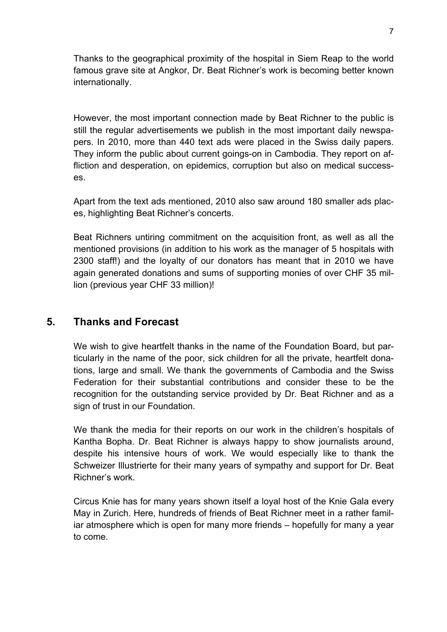Thanks to the geographical proximity of the hospital in Siem Reap to the world famous grave site at Angkor, Dr. Beat Richner's work is becoming better known internationally.

However, the most important connection made by Beat Richner to the public is still the regular advertisements we publish in the most important daily newspapers. In 2010, more than 440 text ads were placed in the Swiss daily papers. They inform the public about current goings-on in Cambodia. They report on affliction and desperation, on epidemics, corruption but also on medical successes.

Apart from the text ads mentioned, 2010 also saw around 180 smaller ads places, highlighting Beat Richner's concerts.

Beat Richners untiring commitment on the acquisition front, as well as all the mentioned provisions (in addition to his work as the manager of 5 hospitals with 2300 staff!) and the loyalty of our donators has meant that in 2010 we have again generated donations and sums of supporting monies of over CHF 35 million (previous year CHF 33 million)!

### **5. Thanks and Forecast**

We wish to give heartfelt thanks in the name of the Foundation Board, but particularly in the name of the poor, sick children for all the private, heartfelt donations, large and small. We thank the governments of Cambodia and the Swiss Federation for their substantial contributions and consider these to be the recognition for the outstanding service provided by Dr. Beat Richner and as a sign of trust in our Foundation.

We thank the media for their reports on our work in the children's hospitals of Kantha Bopha. Dr. Beat Richner is always happy to show journalists around, despite his intensive hours of work. We would especially like to thank the Schweizer Illustrierte for their many years of sympathy and support for Dr. Beat Richner's work.

Circus Knie has for many years shown itself a loyal host of the Knie Gala every May in Zurich. Here, hundreds of friends of Beat Richner meet in a rather familiar atmosphere which is open for many more friends – hopefully for many a year to come.